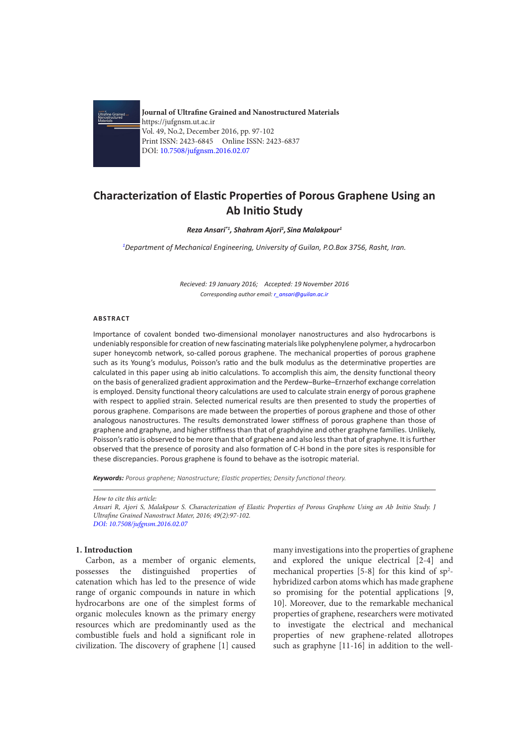

**Journal of Ultrafine Grained and Nanostructured Materials** https://jufgnsm.ut.ac.ir Vol. 49, No.2, December 2016, pp. 97-102 Print ISSN: 2423-6845 Online ISSN: 2423-6837 DOI: 10.7508/jufgnsm.2016.02.07

# **Characterization of Elastic Properties of Porous Graphene Using an Ab Initio Study**

#### *Reza Ansari\*1, Shahram Ajori1 , Sina Malakpour1*

*1 Department of Mechanical Engineering, University of Guilan, P.O.Box 3756, Rasht, Iran.*

*Recieved: 19 January 2016; Accepted: 19 November 2016 Corresponding author email: r\_ansari@guilan.ac.ir*

#### **ABSTRACT**

Importance of covalent bonded two-dimensional monolayer nanostructures and also hydrocarbons is undeniably responsible for creation of new fascinating materials like polyphenylene polymer, a hydrocarbon super honeycomb network, so-called porous graphene. The mechanical properties of porous graphene such as its Young's modulus, Poisson's ratio and the bulk modulus as the determinative properties are calculated in this paper using ab initio calculations. To accomplish this aim, the density functional theory on the basis of generalized gradient approximation and the Perdew–Burke–Ernzerhof exchange correlation is employed. Density functional theory calculations are used to calculate strain energy of porous graphene with respect to applied strain. Selected numerical results are then presented to study the properties of porous graphene. Comparisons are made between the properties of porous graphene and those of other analogous nanostructures. The results demonstrated lower stiffness of porous graphene than those of graphene and graphyne, and higher stiffness than that of graphdyine and other graphyne families. Unlikely, Poisson's ratio is observed to be more than that of graphene and also less than that of graphyne. It is further observed that the presence of porosity and also formation of C-H bond in the pore sites is responsible for these discrepancies. Porous graphene is found to behave as the isotropic material.

*Keywords: Porous graphene; Nanostructure; Elastic properties; Density functional theory.*

*How to cite this article: Ansari R, Ajori S, Malakpour S. Characterization of Elastic Properties of Porous Graphene Using an Ab Initio Study. J Ultrafine Grained Nanostruct Mater, 2016; 49(2):97-102. DOI: 10.7508/jufgnsm.2016.02.07*

#### **1. Introduction**

Carbon, as a member of organic elements, possesses the distinguished properties of catenation which has led to the presence of wide range of organic compounds in nature in which hydrocarbons are one of the simplest forms of organic molecules known as the primary energy resources which are predominantly used as the combustible fuels and hold a significant role in civilization. The discovery of graphene [1] caused

many investigations into the properties of graphene and explored the unique electrical [2-4] and mechanical properties  $[5-8]$  for this kind of  $sp^2$ hybridized carbon atoms which has made graphene so promising for the potential applications [9, 10]. Moreover, due to the remarkable mechanical properties of graphene, researchers were motivated to investigate the electrical and mechanical properties of new graphene-related allotropes such as graphyne [11-16] in addition to the well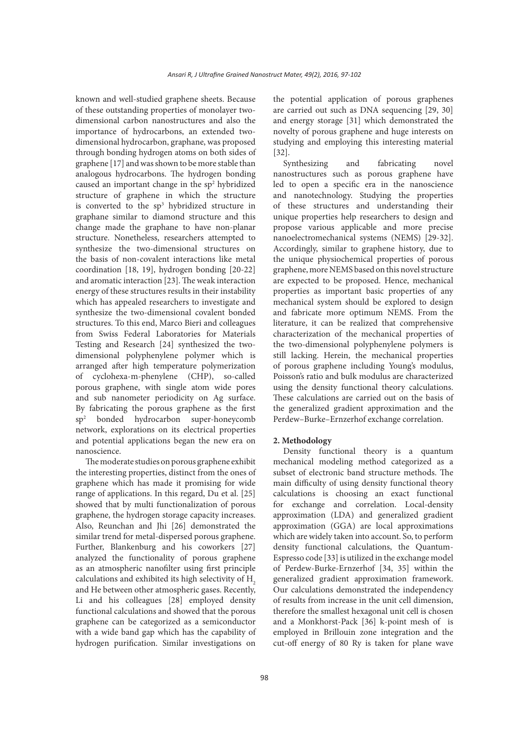known and well-studied graphene sheets. Because of these outstanding properties of monolayer twodimensional carbon nanostructures and also the importance of hydrocarbons, an extended twodimensional hydrocarbon, graphane, was proposed through bonding hydrogen atoms on both sides of graphene [17] and was shown to be more stable than analogous hydrocarbons. The hydrogen bonding caused an important change in the  $sp<sup>2</sup>$  hybridized structure of graphene in which the structure is converted to the sp<sup>3</sup> hybridized structure in graphane similar to diamond structure and this change made the graphane to have non-planar structure. Nonetheless, researchers attempted to synthesize the two-dimensional structures on the basis of non-covalent interactions like metal coordination [18, 19], hydrogen bonding [20-22] and aromatic interaction [23]. The weak interaction energy of these structures results in their instability which has appealed researchers to investigate and synthesize the two-dimensional covalent bonded structures. To this end, Marco Bieri and colleagues from Swiss Federal Laboratories for Materials Testing and Research [24] synthesized the twodimensional polyphenylene polymer which is arranged after high temperature polymerization of cyclohexa-m-phenylene (CHP), so-called porous graphene, with single atom wide pores and sub nanometer periodicity on Ag surface. By fabricating the porous graphene as the first sp2 bonded hydrocarbon super-honeycomb network, explorations on its electrical properties and potential applications began the new era on nanoscience.

The moderate studies on porous graphene exhibit the interesting properties, distinct from the ones of graphene which has made it promising for wide range of applications. In this regard, Du et al. [25] showed that by multi functionalization of porous graphene, the hydrogen storage capacity increases. Also, Reunchan and Jhi [26] demonstrated the similar trend for metal-dispersed porous graphene. Further, Blankenburg and his coworkers [27] analyzed the functionality of porous graphene as an atmospheric nanofilter using first principle calculations and exhibited its high selectivity of H<sub>2</sub> and He between other atmospheric gases. Recently, Li and his colleagues [28] employed density functional calculations and showed that the porous graphene can be categorized as a semiconductor with a wide band gap which has the capability of hydrogen purification. Similar investigations on

the potential application of porous graphenes are carried out such as DNA sequencing [29, 30] and energy storage [31] which demonstrated the novelty of porous graphene and huge interests on studying and employing this interesting material [32].

Synthesizing and fabricating novel nanostructures such as porous graphene have led to open a specific era in the nanoscience and nanotechnology. Studying the properties of these structures and understanding their unique properties help researchers to design and propose various applicable and more precise nanoelectromechanical systems (NEMS) [29-32]. Accordingly, similar to graphene history, due to the unique physiochemical properties of porous graphene, more NEMS based on this novel structure are expected to be proposed. Hence, mechanical properties as important basic properties of any mechanical system should be explored to design and fabricate more optimum NEMS. From the literature, it can be realized that comprehensive characterization of the mechanical properties of the two-dimensional polyphenylene polymers is still lacking. Herein, the mechanical properties of porous graphene including Young's modulus, Poisson's ratio and bulk modulus are characterized using the density functional theory calculations. These calculations are carried out on the basis of the generalized gradient approximation and the Perdew–Burke–Ernzerhof exchange correlation.

## **2. Methodology**

Density functional theory is a quantum mechanical modeling method categorized as a subset of electronic band structure methods. The main difficulty of using density functional theory calculations is choosing an exact functional for exchange and correlation. Local-density approximation (LDA) and generalized gradient approximation (GGA) are local approximations which are widely taken into account. So, to perform density functional calculations, the Quantum-Espresso code [33] is utilized in the exchange model of Perdew-Burke-Ernzerhof [34, 35] within the generalized gradient approximation framework. Our calculations demonstrated the independency of results from increase in the unit cell dimension, therefore the smallest hexagonal unit cell is chosen and a Monkhorst-Pack [36] k-point mesh of is employed in Brillouin zone integration and the cut-off energy of 80 Ry is taken for plane wave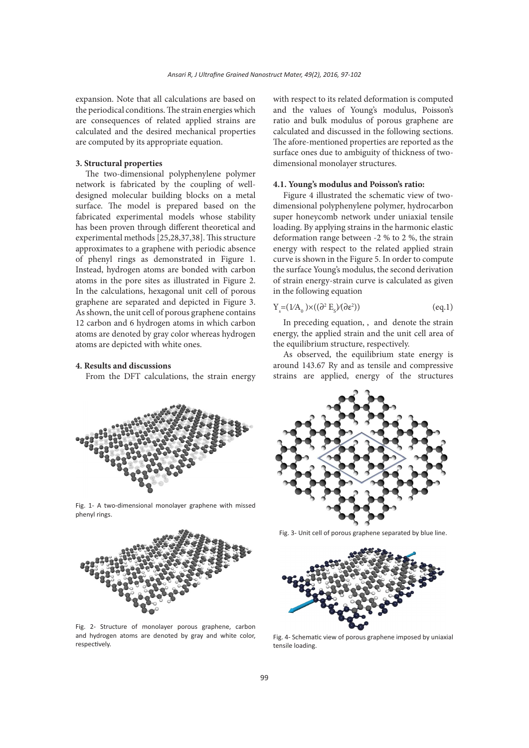expansion. Note that all calculations are based on the periodical conditions. The strain energies which are consequences of related applied strains are calculated and the desired mechanical properties are computed by its appropriate equation.

## **3. Structural properties**

The two-dimensional polyphenylene polymer network is fabricated by the coupling of welldesigned molecular building blocks on a metal surface. The model is prepared based on the fabricated experimental models whose stability has been proven through different theoretical and experimental methods [25,28,37,38]. This structure approximates to a graphene with periodic absence of phenyl rings as demonstrated in Figure 1. Instead, hydrogen atoms are bonded with carbon atoms in the pore sites as illustrated in Figure 2. In the calculations, hexagonal unit cell of porous graphene are separated and depicted in Figure 3. As shown, the unit cell of porous graphene contains 12 carbon and 6 hydrogen atoms in which carbon atoms are denoted by gray color whereas hydrogen atoms are depicted with white ones.

## **4. Results and discussions**

From the DFT calculations, the strain energy



Fig. 1- A two-dimensional monolayer graphene with missed phenyl rings.



Fig. 2- Structure of monolayer porous graphene, carbon and hydrogen atoms are denoted by gray and white color, respectively.

with respect to its related deformation is computed and the values of Young's modulus, Poisson's ratio and bulk modulus of porous graphene are calculated and discussed in the following sections. The afore-mentioned properties are reported as the surface ones due to ambiguity of thickness of twodimensional monolayer structures.

#### **4.1. Young's modulus and Poisson's ratio:**

Figure 4 illustrated the schematic view of twodimensional polyphenylene polymer, hydrocarbon super honeycomb network under uniaxial tensile loading. By applying strains in the harmonic elastic deformation range between -2 % to 2 %, the strain energy with respect to the related applied strain curve is shown in the Figure 5. In order to compute the surface Young's modulus, the second derivation of strain energy-strain curve is calculated as given in the following equation

$$
Y_s = (1/A_0) \times ((\partial^2 E_s) / (\partial \varepsilon^2))
$$
 (eq.1)

In preceding equation, , and denote the strain energy, the applied strain and the unit cell area of the equilibrium structure, respectively.

As observed, the equilibrium state energy is around 143.67 Ry and as tensile and compressive strains are applied, energy of the structures



Fig. 3- Unit cell of porous graphene separated by blue line.



Fig. 4- Schematic view of porous graphene imposed by uniaxial tensile loading.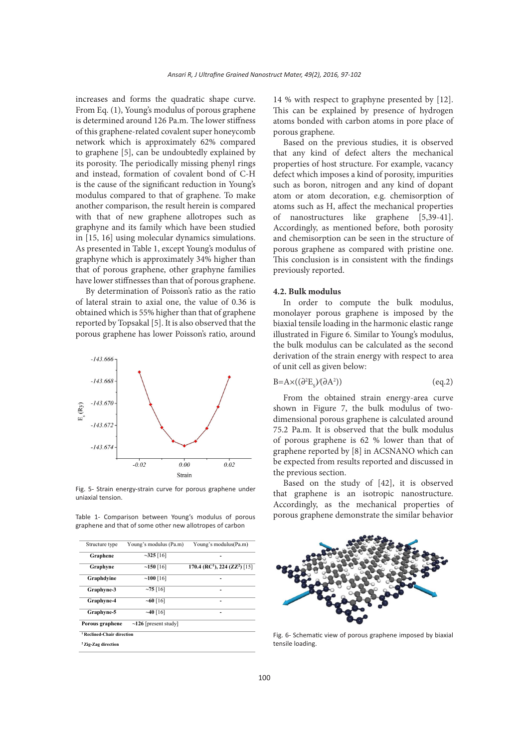increases and forms the quadratic shape curve. From Eq. (1), Young's modulus of porous graphene is determined around 126 Pa.m. The lower stiffness of this graphene-related covalent super honeycomb network which is approximately 62% compared to graphene [5], can be undoubtedly explained by its porosity. The periodically missing phenyl rings and instead, formation of covalent bond of C-H is the cause of the significant reduction in Young's modulus compared to that of graphene. To make another comparison, the result herein is compared with that of new graphene allotropes such as graphyne and its family which have been studied in [15, 16] using molecular dynamics simulations. As presented in Table 1, except Young's modulus of graphyne which is approximately 34% higher than that of porous graphene, other graphyne families have lower stiffnesses than that of porous graphene.

By determination of Poisson's ratio as the ratio of lateral strain to axial one, the value of 0.36 is obtained which is 55% higher than that of graphene reported by Topsakal [5]. It is also observed that the porous graphene has lower Poisson's ratio, around



Fig. 5- Strain energy-strain curve for porous graphene under uniaxial tension.

Table 1- Comparison between Young's modulus of porous graphene and that of some other new allotropes of carbon

| Structure type                        | Young's modulus (Pa.m)     | Young's modulus(Pa.m)                                 |
|---------------------------------------|----------------------------|-------------------------------------------------------|
| Graphene                              | $-325$ [16]                |                                                       |
| Graphyne                              | ~150~16                    | 170.4 (RC <sup>1</sup> ), 224 (ZZ <sup>2</sup> ) [15] |
| Graphdyine                            | ~100~16                    |                                                       |
| Graphyne-3                            | ~16                        | -                                                     |
| Graphyne-4                            | $~16$ [16]                 | -                                                     |
| Graphyne-5                            | ~16                        | -                                                     |
| Porous graphene                       | $\sim$ 126 [present study] |                                                       |
| <sup>1</sup> Reclined-Chair direction |                            |                                                       |
| <sup>2</sup> Zig-Zag direction        |                            |                                                       |
|                                       |                            |                                                       |

14 % with respect to graphyne presented by [12]. This can be explained by presence of hydrogen atoms bonded with carbon atoms in pore place of porous graphene.

Based on the previous studies, it is observed that any kind of defect alters the mechanical properties of host structure. For example, vacancy defect which imposes a kind of porosity, impurities such as boron, nitrogen and any kind of dopant atom or atom decoration, e.g. chemisorption of atoms such as H, affect the mechanical properties of nanostructures like graphene [5,39-41]. Accordingly, as mentioned before, both porosity and chemisorption can be seen in the structure of porous graphene as compared with pristine one. This conclusion is in consistent with the findings previously reported.

## **4.2. Bulk modulus**

In order to compute the bulk modulus, monolayer porous graphene is imposed by the biaxial tensile loading in the harmonic elastic range illustrated in Figure 6. Similar to Young's modulus, the bulk modulus can be calculated as the second derivation of the strain energy with respect to area of unit cell as given below:

$$
B=A\times((\partial^2 E_s)/(\partial A^2))\tag{eq.2}
$$

From the obtained strain energy-area curve shown in Figure 7, the bulk modulus of twodimensional porous graphene is calculated around 75.2 Pa.m. It is observed that the bulk modulus of porous graphene is 62 % lower than that of graphene reported by [8] in ACSNANO which can be expected from results reported and discussed in the previous section.

Based on the study of [42], it is observed that graphene is an isotropic nanostructure. Accordingly, as the mechanical properties of porous graphene demonstrate the similar behavior



Fig. 6- Schematic view of porous graphene imposed by biaxial tensile loading.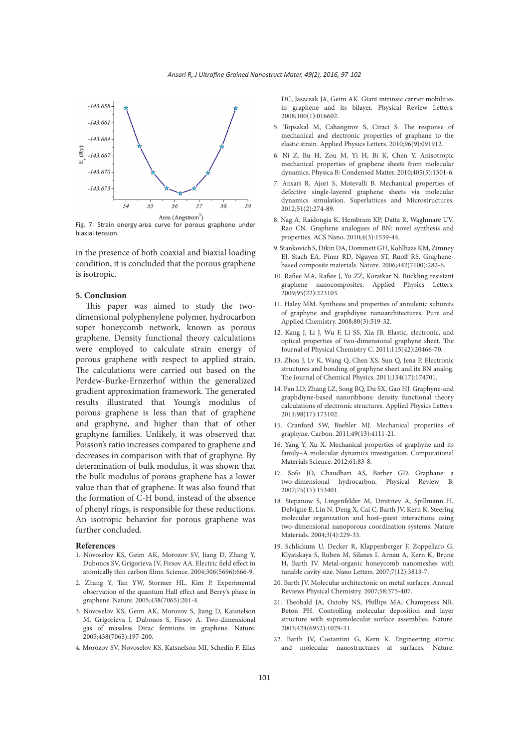

Fig. 7- Strain energy-area curve for porous graphene under biaxial tension.

in the presence of both coaxial and biaxial loading condition, it is concluded that the porous graphene is isotropic.

### **5. Conclusion**

This paper was aimed to study the twodimensional polyphenylene polymer, hydrocarbon super honeycomb network, known as porous graphene. Density functional theory calculations were employed to calculate strain energy of porous graphene with respect to applied strain. The calculations were carried out based on the Perdew-Burke-Ernzerhof within the generalized gradient approximation framework. The generated results illustrated that Young's modulus of porous graphene is less than that of graphene and graphyne, and higher than that of other graphyne families. Unlikely, it was observed that Poisson's ratio increases compared to graphene and decreases in comparison with that of graphyne. By determination of bulk modulus, it was shown that the bulk modulus of porous graphene has a lower value than that of graphene. It was also found that the formation of C-H bond, instead of the absence of phenyl rings, is responsible for these reductions. An isotropic behavior for porous graphene was further concluded.

#### **References**

- 1. Novoselov KS, Geim AK, Morozov SV, Jiang D, Zhang Y, Dubonos SV, Grigorieva IV, Firsov AA. Electric field effect in atomically thin carbon films. Science. 2004;306(5696):666-9.
- 2. Zhang Y, Tan YW, Stormer HL, Kim P. Experimental observation of the quantum Hall effect and Berry's phase in graphene. Nature. 2005;438(7065):201-4.
- 3. Novoselov KS, Geim AK, Morozov S, Jiang D, Katsnelson M, Grigorieva I, Dubonos S, Firsov A. Two-dimensional gas of massless Dirac fermions in graphene. Nature. 2005;438(7065):197-200.
- 4. Morozov SV, Novoselov KS, Katsnelson MI, Schedin F, Elias

DC, Jaszczak JA, Geim AK. Giant intrinsic carrier mobilities in graphene and its bilayer. Physical Review Letters. 2008;100(1):016602.

- 5. Topsakal M, Cahangirov S, Ciraci S. The response of mechanical and electronic properties of graphane to the elastic strain. Applied Physics Letters. 2010;96(9):091912.
- 6. Ni Z, Bu H, Zou M, Yi H, Bi K, Chen Y. Anisotropic mechanical properties of graphene sheets from molecular dynamics. Physica B: Condensed Matter. 2010;405(5):1301-6.
- 7. Ansari R, Ajori S, Motevalli B. Mechanical properties of defective single-layered graphene sheets via molecular dynamics simulation. Superlattices and Microstructures. 2012;51(2):274-89.
- 8. Nag A, Raidongia K, Hembram KP, Datta R, Waghmare UV, Rao CN. Graphene analogues of BN: novel synthesis and properties. ACS Nano. 2010;4(3):1539-44.
- 9. Stankovich S, Dikin DA, Dommett GH, Kohlhaas KM, Zimney EJ, Stach EA, Piner RD, Nguyen ST, Ruoff RS. Graphenebased composite materials. Nature. 2006;442(7100):282-6.
- 10. Rafiee MA, Rafiee J, Yu ZZ, Koratkar N. Buckling resistant graphene nanocomposites. Applied Physics Letters. 2009;95(22):223103.
- 11. Haley MM. Synthesis and properties of annulenic subunits of graphyne and graphdiyne nanoarchitectures. Pure and Applied Chemistry. 2008;80(3):519-32.
- 12. Kang J, Li J, Wu F, Li SS, Xia JB. Elastic, electronic, and optical properties of two-dimensional graphyne sheet. The Journal of Physical Chemistry C. 2011;115(42):20466-70.
- 13. Zhou J, Lv K, Wang Q, Chen XS, Sun Q, Jena P. Electronic structures and bonding of graphyne sheet and its BN analog. The Journal of Chemical Physics. 2011;134(17):174701.
- 14. Pan LD, Zhang LZ, Song BQ, Du SX, Gao HJ. Graphyne-and graphdiyne-based nanoribbons: density functional theory calculations of electronic structures. Applied Physics Letters. 2011;98(17):173102.
- 15. Cranford SW, Buehler MJ. Mechanical properties of graphyne. Carbon. 2011;49(13):4111-21.
- 16. Yang Y, Xu X. Mechanical properties of graphyne and its family–A molecular dynamics investigation. Computational Materials Science. 2012;61:83-8.
- 17. Sofo JO, Chaudhari AS, Barber GD. Graphane: a two-dimensional hydrocarbon. Physical Review B. 2007;75(15):153401.
- 18. Stepanow S, Lingenfelder M, Dmitriev A, Spillmann H, Delvigne E, Lin N, Deng X, Cai C, Barth JV, Kern K. Steering molecular organization and host–guest interactions using two-dimensional nanoporous coordination systems. Nature Materials. 2004;3(4):229-33.
- 19. Schlickum U, Decker R, Klappenberger F, Zoppellaro G, Klyatskaya S, Ruben M, Silanes I, Arnau A, Kern K, Brune H, Barth JV. Metal-organic honeycomb nanomeshes with tunable cavity size. Nano Letters. 2007;7(12):3813-7.
- 20. Barth JV. Molecular architectonic on metal surfaces. Annual Reviews Physical Chemistry. 2007;58:375-407.
- 21. Theobald JA, Oxtoby NS, Phillips MA, Champness NR, Beton PH. Controlling molecular deposition and layer structure with supramolecular surface assemblies. Nature. 2003;424(6952):1029-31.
- 22. Barth JV, Costantini G, Kern K. Engineering atomic and molecular nanostructures at surfaces. Nature.